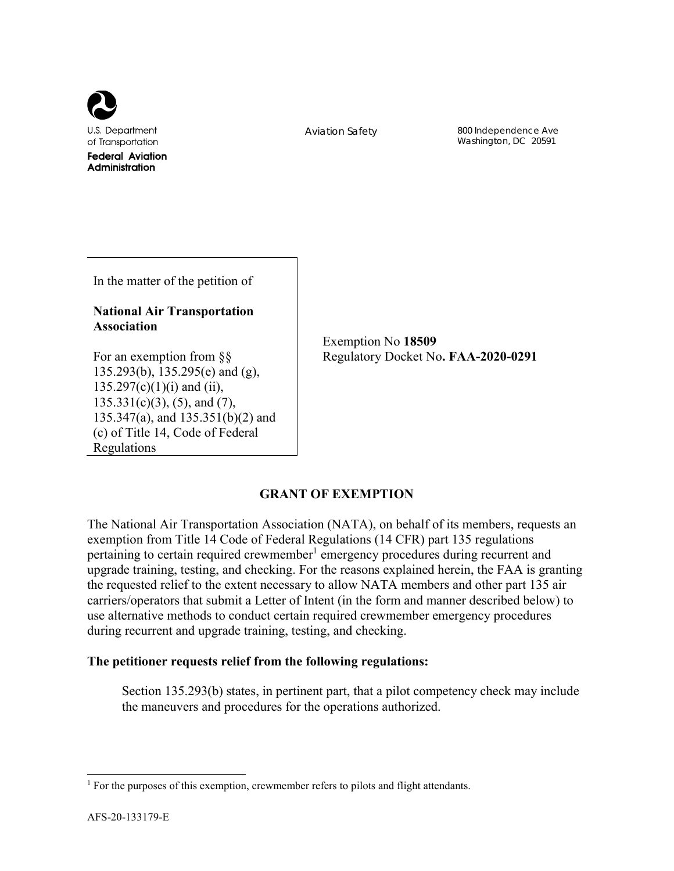

Aviation Safety 800 Independence Ave Washington, DC 20591

In the matter of the petition of

# **National Air Transportation Association**

Exemption No **18509** Regulatory Docket No**. FAA-2020-0291**

For an exemption from §§ 135.293(b), 135.295(e) and (g),  $135.297(c)(1)(i)$  and (ii),  $135.331(c)(3)$ ,  $(5)$ , and  $(7)$ , 135.347(a), and 135.351(b)(2) and (c) of Title 14, Code of Federal Regulations

**GRANT OF EXEMPTION** 

The National Air Transportation Association (NATA), on behalf of its members, requests an exemption from Title 14 Code of Federal Regulations (14 CFR) part 135 regulations pertaining to certain required crewmember<sup>1</sup> emergency procedures during recurrent and upgrade training, testing, and checking. For the reasons explained herein, the FAA is granting the requested relief to the extent necessary to allow NATA members and other part 135 air carriers/operators that submit a Letter of Intent (in the form and manner described below) to use alternative methods to conduct certain required crewmember emergency procedures during recurrent and upgrade training, testing, and checking.

# **The petitioner requests relief from the following regulations:**

Section 135.293(b) states, in pertinent part, that a pilot competency check may include the maneuvers and procedures for the operations authorized.

 $\overline{a}$ 

<sup>&</sup>lt;sup>1</sup> For the purposes of this exemption, crewmember refers to pilots and flight attendants.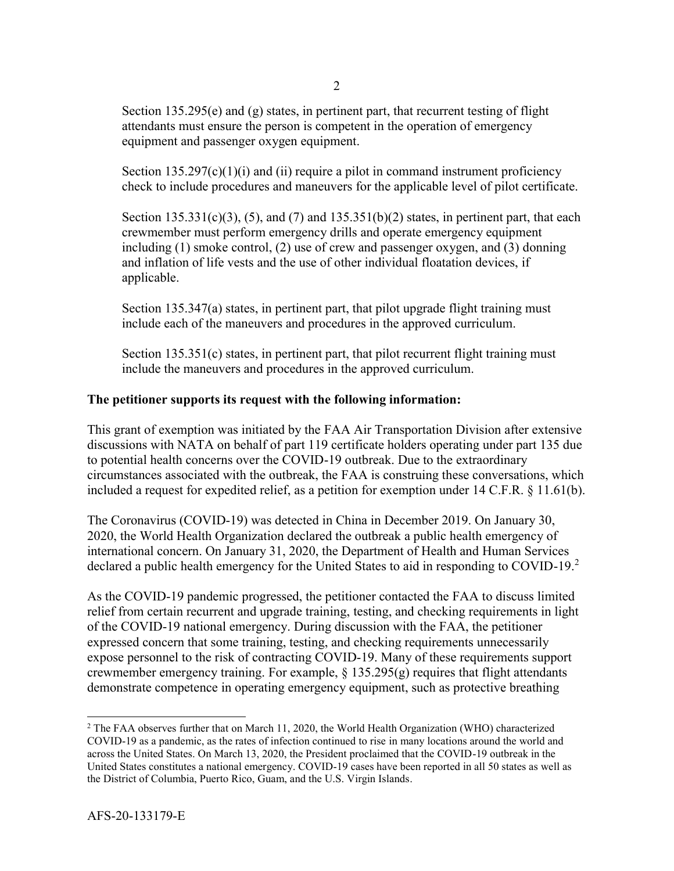Section 135.295(e) and  $(g)$  states, in pertinent part, that recurrent testing of flight attendants must ensure the person is competent in the operation of emergency equipment and passenger oxygen equipment.

Section  $135.297(c)(1)(i)$  and (ii) require a pilot in command instrument proficiency check to include procedures and maneuvers for the applicable level of pilot certificate.

Section  $135.331(c)(3)$ ,  $(5)$ , and  $(7)$  and  $135.351(b)(2)$  states, in pertinent part, that each crewmember must perform emergency drills and operate emergency equipment including (1) smoke control, (2) use of crew and passenger oxygen, and (3) donning and inflation of life vests and the use of other individual floatation devices, if applicable.

Section 135.347(a) states, in pertinent part, that pilot upgrade flight training must include each of the maneuvers and procedures in the approved curriculum.

Section 135.351(c) states, in pertinent part, that pilot recurrent flight training must include the maneuvers and procedures in the approved curriculum.

## **The petitioner supports its request with the following information:**

This grant of exemption was initiated by the FAA Air Transportation Division after extensive discussions with NATA on behalf of part 119 certificate holders operating under part 135 due to potential health concerns over the COVID-19 outbreak. Due to the extraordinary circumstances associated with the outbreak, the FAA is construing these conversations, which included a request for expedited relief, as a petition for exemption under 14 C.F.R. § 11.61(b).

The Coronavirus (COVID-19) was detected in China in December 2019. On January 30, 2020, the World Health Organization declared the outbreak a public health emergency of international concern. On January 31, 2020, the Department of Health and Human Services declared a public health emergency for the United States to aid in responding to COVID-19.<sup>2</sup>

As the COVID-19 pandemic progressed, the petitioner contacted the FAA to discuss limited relief from certain recurrent and upgrade training, testing, and checking requirements in light of the COVID-19 national emergency. During discussion with the FAA, the petitioner expressed concern that some training, testing, and checking requirements unnecessarily expose personnel to the risk of contracting COVID-19. Many of these requirements support crewmember emergency training. For example,  $\S$  135.295(g) requires that flight attendants demonstrate competence in operating emergency equipment, such as protective breathing

l

<sup>&</sup>lt;sup>2</sup> The FAA observes further that on March 11, 2020, the World Health Organization (WHO) characterized COVID-19 as a pandemic, as the rates of infection continued to rise in many locations around the world and across the United States. On March 13, 2020, the President proclaimed that the COVID-19 outbreak in the United States constitutes a national emergency. COVID-19 cases have been reported in all 50 states as well as the District of Columbia, Puerto Rico, Guam, and the U.S. Virgin Islands.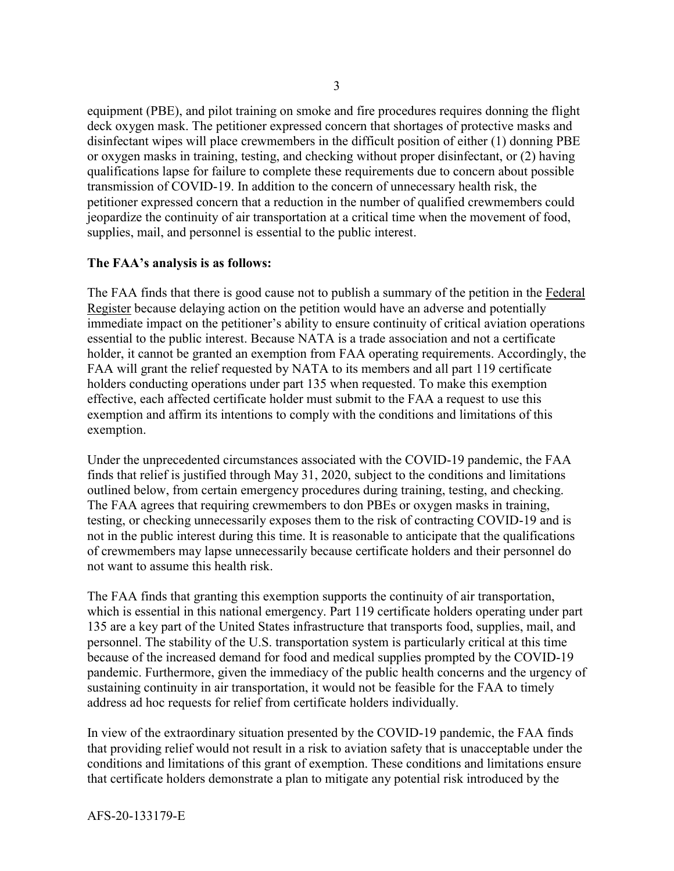equipment (PBE), and pilot training on smoke and fire procedures requires donning the flight deck oxygen mask. The petitioner expressed concern that shortages of protective masks and disinfectant wipes will place crewmembers in the difficult position of either (1) donning PBE or oxygen masks in training, testing, and checking without proper disinfectant, or (2) having qualifications lapse for failure to complete these requirements due to concern about possible transmission of COVID-19. In addition to the concern of unnecessary health risk, the petitioner expressed concern that a reduction in the number of qualified crewmembers could jeopardize the continuity of air transportation at a critical time when the movement of food, supplies, mail, and personnel is essential to the public interest.

## **The FAA's analysis is as follows:**

The FAA finds that there is good cause not to publish a summary of the petition in the Federal Register because delaying action on the petition would have an adverse and potentially immediate impact on the petitioner's ability to ensure continuity of critical aviation operations essential to the public interest. Because NATA is a trade association and not a certificate holder, it cannot be granted an exemption from FAA operating requirements. Accordingly, the FAA will grant the relief requested by NATA to its members and all part 119 certificate holders conducting operations under part 135 when requested. To make this exemption effective, each affected certificate holder must submit to the FAA a request to use this exemption and affirm its intentions to comply with the conditions and limitations of this exemption.

Under the unprecedented circumstances associated with the COVID-19 pandemic, the FAA finds that relief is justified through May 31, 2020, subject to the conditions and limitations outlined below, from certain emergency procedures during training, testing, and checking. The FAA agrees that requiring crewmembers to don PBEs or oxygen masks in training, testing, or checking unnecessarily exposes them to the risk of contracting COVID-19 and is not in the public interest during this time. It is reasonable to anticipate that the qualifications of crewmembers may lapse unnecessarily because certificate holders and their personnel do not want to assume this health risk.

The FAA finds that granting this exemption supports the continuity of air transportation, which is essential in this national emergency. Part 119 certificate holders operating under part 135 are a key part of the United States infrastructure that transports food, supplies, mail, and personnel. The stability of the U.S. transportation system is particularly critical at this time because of the increased demand for food and medical supplies prompted by the COVID-19 pandemic. Furthermore, given the immediacy of the public health concerns and the urgency of sustaining continuity in air transportation, it would not be feasible for the FAA to timely address ad hoc requests for relief from certificate holders individually.

In view of the extraordinary situation presented by the COVID-19 pandemic, the FAA finds that providing relief would not result in a risk to aviation safety that is unacceptable under the conditions and limitations of this grant of exemption. These conditions and limitations ensure that certificate holders demonstrate a plan to mitigate any potential risk introduced by the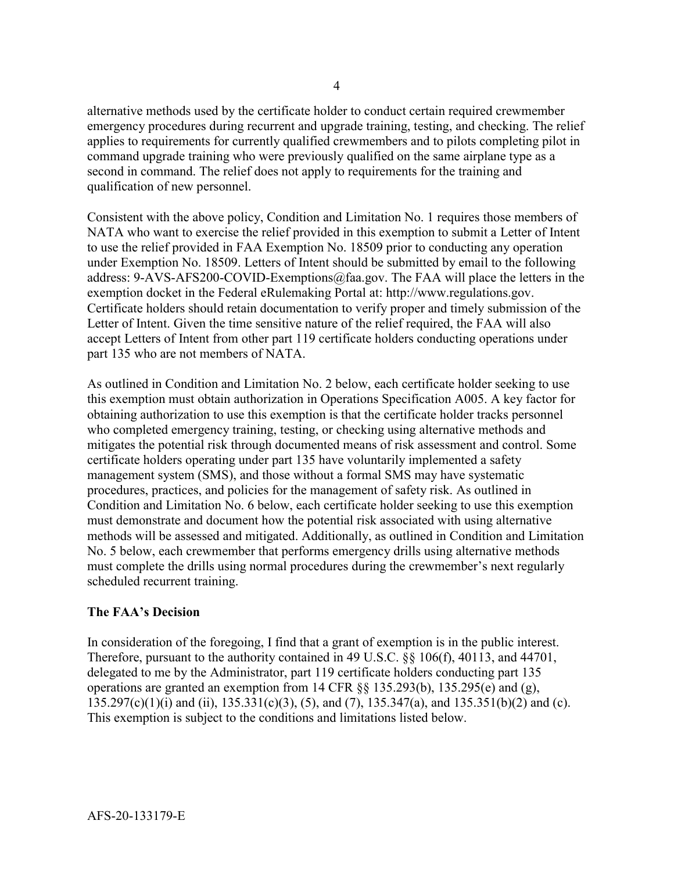alternative methods used by the certificate holder to conduct certain required crewmember emergency procedures during recurrent and upgrade training, testing, and checking. The relief applies to requirements for currently qualified crewmembers and to pilots completing pilot in command upgrade training who were previously qualified on the same airplane type as a second in command. The relief does not apply to requirements for the training and qualification of new personnel.

Consistent with the above policy, Condition and Limitation No. 1 requires those members of NATA who want to exercise the relief provided in this exemption to submit a Letter of Intent to use the relief provided in FAA Exemption No. 18509 prior to conducting any operation under Exemption No. 18509. Letters of Intent should be submitted by email to the following address: 9-AVS-AFS200-COVID-Exemptions@faa.gov. The FAA will place the letters in the exemption docket in the Federal eRulemaking Portal at: http://www.regulations.gov. Certificate holders should retain documentation to verify proper and timely submission of the Letter of Intent. Given the time sensitive nature of the relief required, the FAA will also accept Letters of Intent from other part 119 certificate holders conducting operations under part 135 who are not members of NATA.

As outlined in Condition and Limitation No. 2 below, each certificate holder seeking to use this exemption must obtain authorization in Operations Specification A005. A key factor for obtaining authorization to use this exemption is that the certificate holder tracks personnel who completed emergency training, testing, or checking using alternative methods and mitigates the potential risk through documented means of risk assessment and control. Some certificate holders operating under part 135 have voluntarily implemented a safety management system (SMS), and those without a formal SMS may have systematic procedures, practices, and policies for the management of safety risk. As outlined in Condition and Limitation No. 6 below, each certificate holder seeking to use this exemption must demonstrate and document how the potential risk associated with using alternative methods will be assessed and mitigated. Additionally, as outlined in Condition and Limitation No. 5 below, each crewmember that performs emergency drills using alternative methods must complete the drills using normal procedures during the crewmember's next regularly scheduled recurrent training.

## **The FAA's Decision**

In consideration of the foregoing, I find that a grant of exemption is in the public interest. Therefore, pursuant to the authority contained in 49 U.S.C. §§ 106(f), 40113, and 44701, delegated to me by the Administrator, part 119 certificate holders conducting part 135 operations are granted an exemption from 14 CFR  $\S$ § 135.293(b), 135.295(e) and (g), 135.297(c)(1)(i) and (ii), 135.331(c)(3), (5), and (7), 135.347(a), and 135.351(b)(2) and (c). This exemption is subject to the conditions and limitations listed below.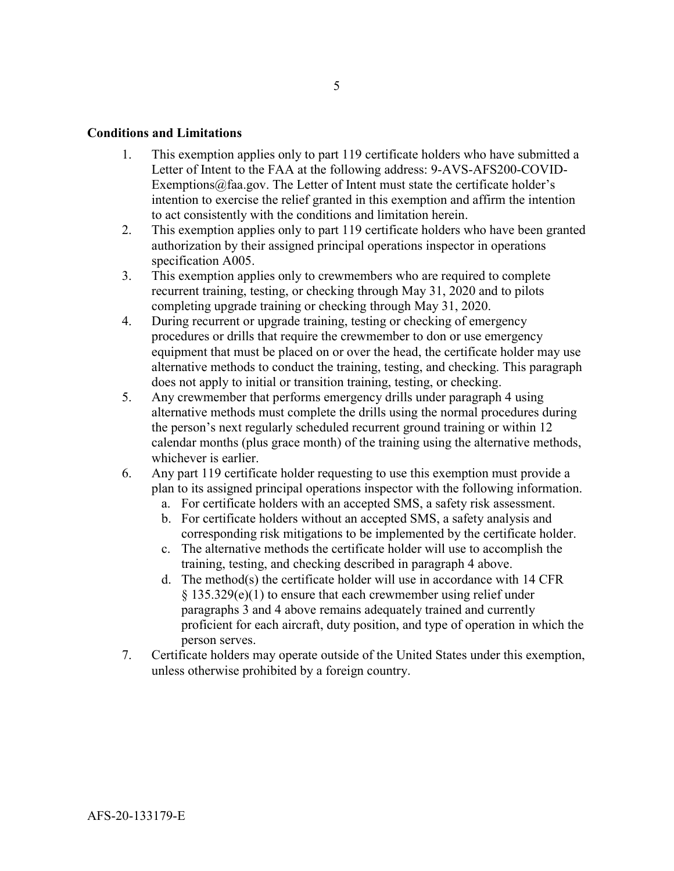### **Conditions and Limitations**

- 1. This exemption applies only to part 119 certificate holders who have submitted a Letter of Intent to the FAA at the following address: 9-AVS-AFS200-COVID-Exemptions $@$ faa.gov. The Letter of Intent must state the certificate holder's intention to exercise the relief granted in this exemption and affirm the intention to act consistently with the conditions and limitation herein.
- 2. This exemption applies only to part 119 certificate holders who have been granted authorization by their assigned principal operations inspector in operations specification A005.
- 3. This exemption applies only to crewmembers who are required to complete recurrent training, testing, or checking through May 31, 2020 and to pilots completing upgrade training or checking through May 31, 2020.
- 4. During recurrent or upgrade training, testing or checking of emergency procedures or drills that require the crewmember to don or use emergency equipment that must be placed on or over the head, the certificate holder may use alternative methods to conduct the training, testing, and checking. This paragraph does not apply to initial or transition training, testing, or checking.
- 5. Any crewmember that performs emergency drills under paragraph 4 using alternative methods must complete the drills using the normal procedures during the person's next regularly scheduled recurrent ground training or within 12 calendar months (plus grace month) of the training using the alternative methods, whichever is earlier.
- 6. Any part 119 certificate holder requesting to use this exemption must provide a plan to its assigned principal operations inspector with the following information.
	- a. For certificate holders with an accepted SMS, a safety risk assessment.
	- b. For certificate holders without an accepted SMS, a safety analysis and corresponding risk mitigations to be implemented by the certificate holder.
	- c. The alternative methods the certificate holder will use to accomplish the training, testing, and checking described in paragraph 4 above.
	- d. The method(s) the certificate holder will use in accordance with 14 CFR § 135.329(e)(1) to ensure that each crewmember using relief under paragraphs 3 and 4 above remains adequately trained and currently proficient for each aircraft, duty position, and type of operation in which the person serves.
- 7. Certificate holders may operate outside of the United States under this exemption, unless otherwise prohibited by a foreign country.